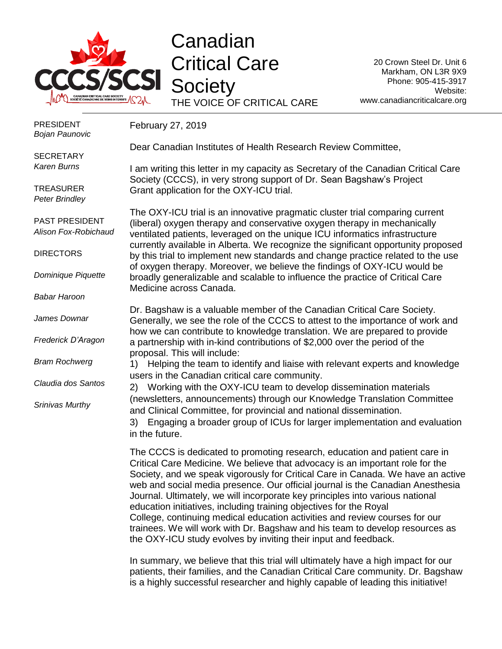

## Canadian Critical Care **Society** THE VOICE OF CRITICAL CARE

20 Crown Steel Dr. Unit 6 Markham, ON L3R 9X9 Phone: 905-415-3917 Website: www.canadiancriticalcare.org

| <b>PRESIDENT</b><br><b>Bojan Paunovic</b> | February 27, 2019                                                                                                                                                                                                                                                                                                                                                                                                                                                                                                                                                                                                                                                                                                         |
|-------------------------------------------|---------------------------------------------------------------------------------------------------------------------------------------------------------------------------------------------------------------------------------------------------------------------------------------------------------------------------------------------------------------------------------------------------------------------------------------------------------------------------------------------------------------------------------------------------------------------------------------------------------------------------------------------------------------------------------------------------------------------------|
| <b>SECRETARY</b>                          | Dear Canadian Institutes of Health Research Review Committee,                                                                                                                                                                                                                                                                                                                                                                                                                                                                                                                                                                                                                                                             |
| <b>Karen Burns</b>                        | I am writing this letter in my capacity as Secretary of the Canadian Critical Care<br>Society (CCCS), in very strong support of Dr. Sean Bagshaw's Project                                                                                                                                                                                                                                                                                                                                                                                                                                                                                                                                                                |
| <b>TREASURER</b><br><b>Peter Brindley</b> | Grant application for the OXY-ICU trial.                                                                                                                                                                                                                                                                                                                                                                                                                                                                                                                                                                                                                                                                                  |
| PAST PRESIDENT<br>Alison Fox-Robichaud    | The OXY-ICU trial is an innovative pragmatic cluster trial comparing current<br>(liberal) oxygen therapy and conservative oxygen therapy in mechanically<br>ventilated patients, leveraged on the unique ICU informatics infrastructure                                                                                                                                                                                                                                                                                                                                                                                                                                                                                   |
| <b>DIRECTORS</b>                          | currently available in Alberta. We recognize the significant opportunity proposed<br>by this trial to implement new standards and change practice related to the use<br>of oxygen therapy. Moreover, we believe the findings of OXY-ICU would be                                                                                                                                                                                                                                                                                                                                                                                                                                                                          |
| Dominique Piquette                        | broadly generalizable and scalable to influence the practice of Critical Care<br>Medicine across Canada.                                                                                                                                                                                                                                                                                                                                                                                                                                                                                                                                                                                                                  |
| <b>Babar Haroon</b>                       |                                                                                                                                                                                                                                                                                                                                                                                                                                                                                                                                                                                                                                                                                                                           |
| James Downar                              | Dr. Bagshaw is a valuable member of the Canadian Critical Care Society.<br>Generally, we see the role of the CCCS to attest to the importance of work and<br>how we can contribute to knowledge translation. We are prepared to provide                                                                                                                                                                                                                                                                                                                                                                                                                                                                                   |
| Frederick D'Aragon                        | a partnership with in-kind contributions of \$2,000 over the period of the<br>proposal. This will include:                                                                                                                                                                                                                                                                                                                                                                                                                                                                                                                                                                                                                |
| <b>Bram Rochwerg</b>                      | Helping the team to identify and liaise with relevant experts and knowledge<br>1)<br>users in the Canadian critical care community.                                                                                                                                                                                                                                                                                                                                                                                                                                                                                                                                                                                       |
| Claudia dos Santos                        | 2) Working with the OXY-ICU team to develop dissemination materials                                                                                                                                                                                                                                                                                                                                                                                                                                                                                                                                                                                                                                                       |
| Srinivas Murthy                           | (newsletters, announcements) through our Knowledge Translation Committee<br>and Clinical Committee, for provincial and national dissemination.                                                                                                                                                                                                                                                                                                                                                                                                                                                                                                                                                                            |
|                                           | 3) Engaging a broader group of ICUs for larger implementation and evaluation<br>in the future.                                                                                                                                                                                                                                                                                                                                                                                                                                                                                                                                                                                                                            |
|                                           | The CCCS is dedicated to promoting research, education and patient care in<br>Critical Care Medicine. We believe that advocacy is an important role for the<br>Society, and we speak vigorously for Critical Care in Canada. We have an active<br>web and social media presence. Our official journal is the Canadian Anesthesia<br>Journal. Ultimately, we will incorporate key principles into various national<br>education initiatives, including training objectives for the Royal<br>College, continuing medical education activities and review courses for our<br>trainees. We will work with Dr. Bagshaw and his team to develop resources as<br>the OXY-ICU study evolves by inviting their input and feedback. |

In summary, we believe that this trial will ultimately have a high impact for our patients, their families, and the Canadian Critical Care community. Dr. Bagshaw is a highly successful researcher and highly capable of leading this initiative!